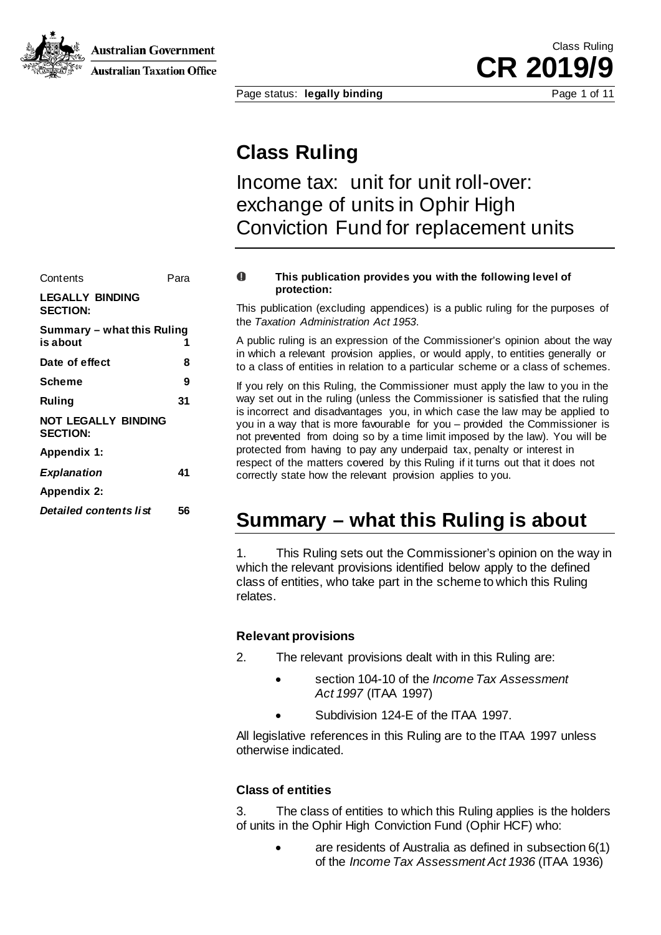**Australian Government** 



**Australian Taxation Office** 

Page status: **legally binding** Page 1 of 11

**Class Ruling**

Income tax: unit for unit roll-over: exchange of units in Ophir High Conviction Fund for replacement units

| Contents                                  | Para |
|-------------------------------------------|------|
| <b>LEGALLY BINDING</b><br><b>SECTION:</b> |      |
| Summary - what this Ruling<br>is about    | 1    |
| Date of effect                            | 8    |
| Scheme                                    | 9    |
| Ruling                                    | 31   |
| NOT LEGALLY BINDING<br><b>SECTION:</b>    |      |
| Appendix 1:                               |      |
| <b>Explanation</b>                        | 41   |
| Appendix 2:                               |      |
| Detailed contents list                    | 56   |

#### $\mathbf \Omega$ **This publication provides you with the following level of protection:**

This publication (excluding appendices) is a public ruling for the purposes of the *Taxation Administration Act 1953*.

A public ruling is an expression of the Commissioner's opinion about the way in which a relevant provision applies, or would apply, to entities generally or to a class of entities in relation to a particular scheme or a class of schemes.

If you rely on this Ruling, the Commissioner must apply the law to you in the way set out in the ruling (unless the Commissioner is satisfied that the ruling is incorrect and disadvantages you, in which case the law may be applied to you in a way that is more favourable for you – provided the Commissioner is not prevented from doing so by a time limit imposed by the law). You will be protected from having to pay any underpaid tax, penalty or interest in respect of the matters covered by this Ruling if it turns out that it does not correctly state how the relevant provision applies to you.

# **Summary – what this Ruling is about**

1. This Ruling sets out the Commissioner's opinion on the way in which the relevant provisions identified below apply to the defined class of entities, who take part in the scheme to which this Ruling relates.

#### **Relevant provisions**

- 2. The relevant provisions dealt with in this Ruling are:
	- section 104-10 of the *Income Tax Assessment Act 1997* (ITAA 1997)
	- Subdivision 124-E of the ITAA 1997.

All legislative references in this Ruling are to the ITAA 1997 unless otherwise indicated.

#### **Class of entities**

3. The class of entities to which this Ruling applies is the holders of units in the Ophir High Conviction Fund (Ophir HCF) who:

> are residents of Australia as defined in subsection  $6(1)$ of the *Income Tax Assessment Act 1936* (ITAA 1936)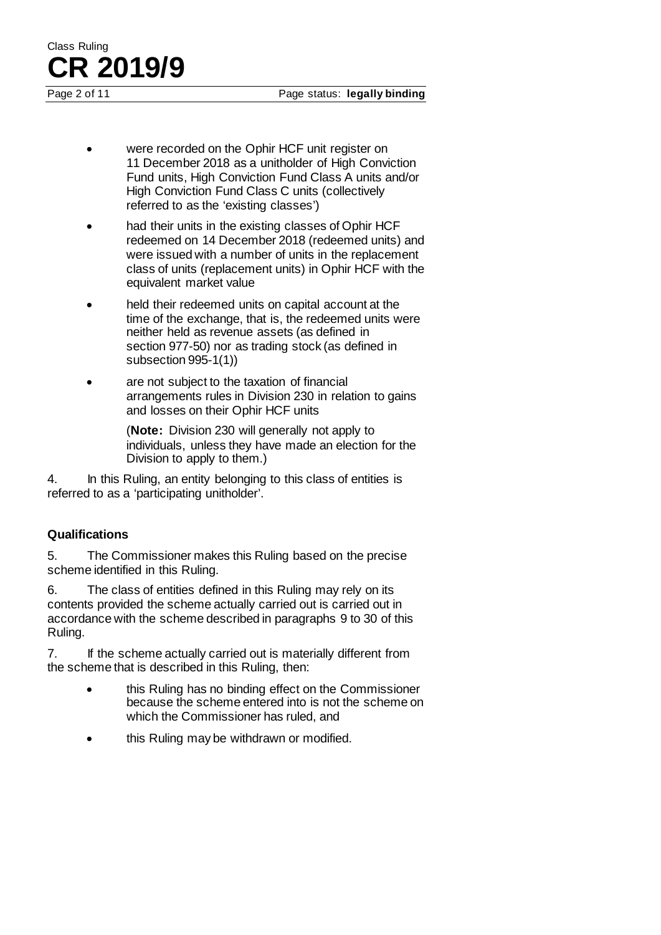Class Ruling **CR 2019/9**

- were recorded on the Ophir HCF unit register on 11 December 2018 as a unitholder of High Conviction Fund units, High Conviction Fund Class A units and/or High Conviction Fund Class C units (collectively referred to as the 'existing classes')
- had their units in the existing classes of Ophir HCF redeemed on 14 December 2018 (redeemed units) and were issued with a number of units in the replacement class of units (replacement units) in Ophir HCF with the equivalent market value
- held their redeemed units on capital account at the time of the exchange, that is, the redeemed units were neither held as revenue assets (as defined in section 977-50) nor as trading stock (as defined in subsection 995-1(1))
- are not subject to the taxation of financial arrangements rules in Division 230 in relation to gains and losses on their Ophir HCF units

(**Note:** Division 230 will generally not apply to individuals, unless they have made an election for the Division to apply to them.)

4. In this Ruling, an entity belonging to this class of entities is referred to as a 'participating unitholder'.

#### **Qualifications**

5. The Commissioner makes this Ruling based on the precise scheme identified in this Ruling.

6. The class of entities defined in this Ruling may rely on its contents provided the scheme actually carried out is carried out in accordance with the scheme described in paragraphs 9 to 30 of this Ruling.

7. If the scheme actually carried out is materially different from the scheme that is described in this Ruling, then:

- this Ruling has no binding effect on the Commissioner because the scheme entered into is not the scheme on which the Commissioner has ruled, and
- this Ruling may be withdrawn or modified.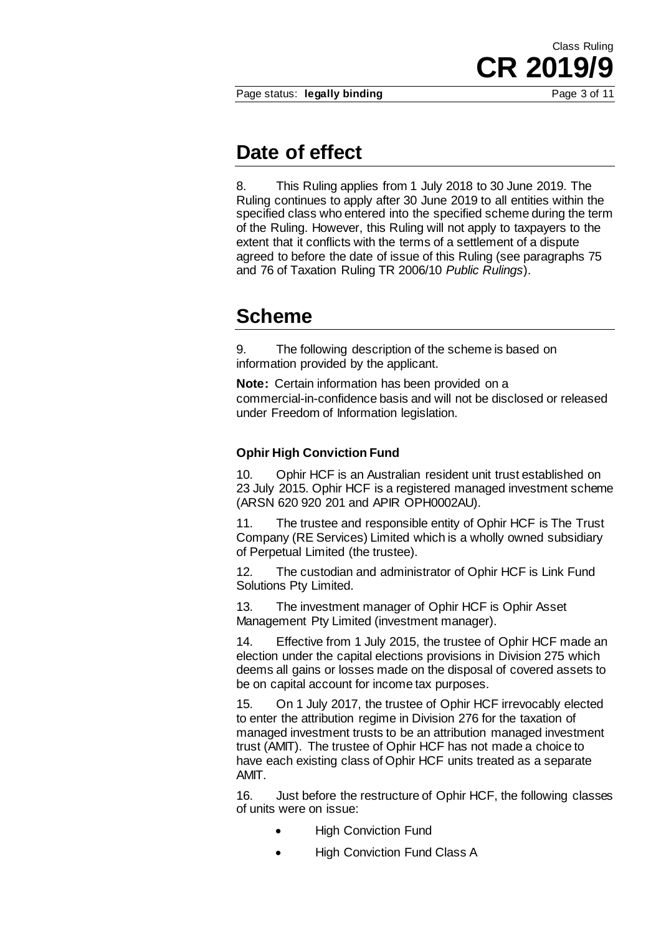**CR 2019/9**

Class Ruling

### **Date of effect**

8. This Ruling applies from 1 July 2018 to 30 June 2019. The Ruling continues to apply after 30 June 2019 to all entities within the specified class who entered into the specified scheme during the term of the Ruling. However, this Ruling will not apply to taxpayers to the extent that it conflicts with the terms of a settlement of a dispute agreed to before the date of issue of this Ruling (see paragraphs 75 and 76 of Taxation Ruling TR 2006/10 *Public Rulings*).

## **Scheme**

9. The following description of the scheme is based on information provided by the applicant.

**Note:** Certain information has been provided on a commercial-in-confidence basis and will not be disclosed or released under Freedom of Information legislation.

#### **Ophir High Conviction Fund**

10. Ophir HCF is an Australian resident unit trust established on 23 July 2015. Ophir HCF is a registered managed investment scheme (ARSN 620 920 201 and APIR OPH0002AU).

11. The trustee and responsible entity of Ophir HCF is The Trust Company (RE Services) Limited which is a wholly owned subsidiary of Perpetual Limited (the trustee).

12. The custodian and administrator of Ophir HCF is Link Fund Solutions Pty Limited.

13. The investment manager of Ophir HCF is Ophir Asset Management Pty Limited (investment manager).

14. Effective from 1 July 2015, the trustee of Ophir HCF made an election under the capital elections provisions in Division 275 which deems all gains or losses made on the disposal of covered assets to be on capital account for income tax purposes.

15. On 1 July 2017, the trustee of Ophir HCF irrevocably elected to enter the attribution regime in Division 276 for the taxation of managed investment trusts to be an attribution managed investment trust (AMIT). The trustee of Ophir HCF has not made a choice to have each existing class of Ophir HCF units treated as a separate AMIT.

16. Just before the restructure of Ophir HCF, the following classes of units were on issue:

- **High Conviction Fund**
- High Conviction Fund Class A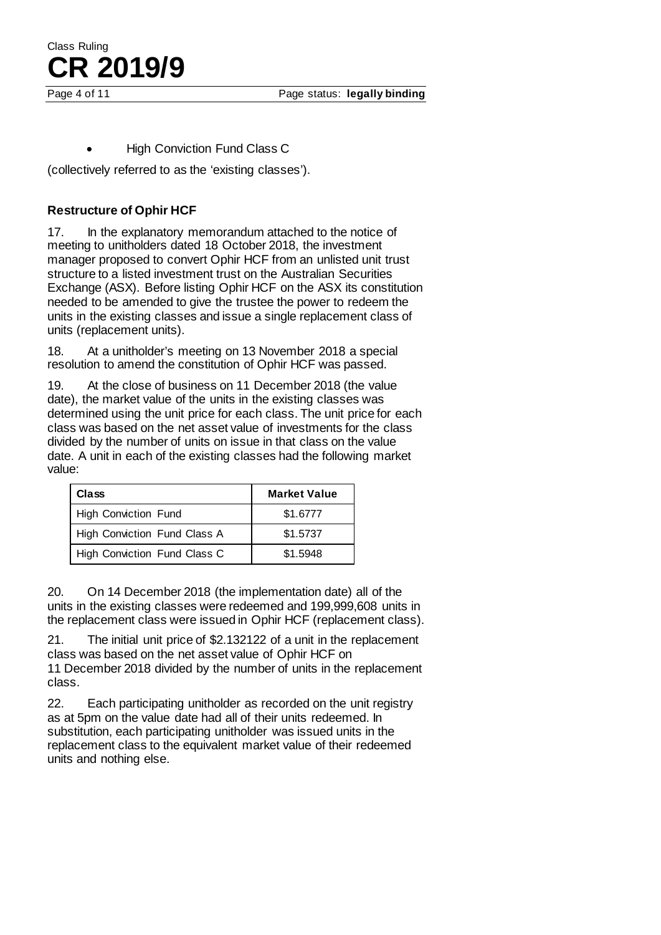**High Conviction Fund Class C** 

(collectively referred to as the 'existing classes').

#### **Restructure of Ophir HCF**

**CR 2019/9**

17. In the explanatory memorandum attached to the notice of meeting to unitholders dated 18 October 2018, the investment manager proposed to convert Ophir HCF from an unlisted unit trust structure to a listed investment trust on the Australian Securities Exchange (ASX). Before listing Ophir HCF on the ASX its constitution needed to be amended to give the trustee the power to redeem the units in the existing classes and issue a single replacement class of units (replacement units).

18. At a unitholder's meeting on 13 November 2018 a special resolution to amend the constitution of Ophir HCF was passed.

19. At the close of business on 11 December 2018 (the value date), the market value of the units in the existing classes was determined using the unit price for each class. The unit price for each class was based on the net asset value of investments for the class divided by the number of units on issue in that class on the value date. A unit in each of the existing classes had the following market value:

| Class                        | <b>Market Value</b> |
|------------------------------|---------------------|
| <b>High Conviction Fund</b>  | \$1,6777            |
| High Conviction Fund Class A | \$1.5737            |
| High Conviction Fund Class C | \$1.5948            |

20. On 14 December 2018 (the implementation date) all of the units in the existing classes were redeemed and 199,999,608 units in the replacement class were issued in Ophir HCF (replacement class).

21. The initial unit price of \$2.132122 of a unit in the replacement class was based on the net asset value of Ophir HCF on 11 December 2018 divided by the number of units in the replacement class.

22. Each participating unitholder as recorded on the unit registry as at 5pm on the value date had all of their units redeemed. In substitution, each participating unitholder was issued units in the replacement class to the equivalent market value of their redeemed units and nothing else.

Class Ruling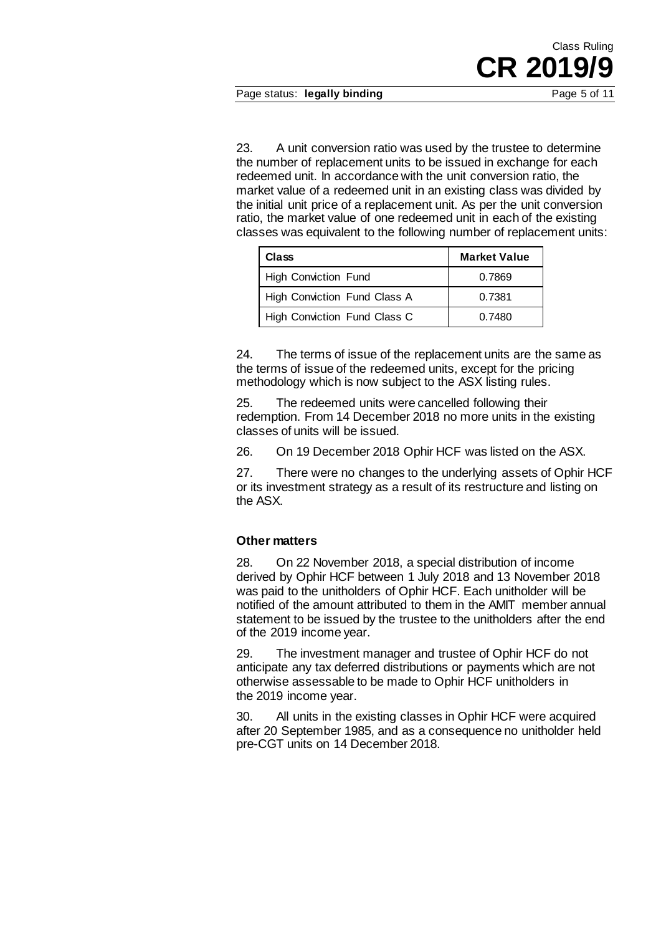Page status: **legally binding** Page 5 of 11

23. A unit conversion ratio was used by the trustee to determine the number of replacement units to be issued in exchange for each redeemed unit. In accordance with the unit conversion ratio, the market value of a redeemed unit in an existing class was divided by the initial unit price of a replacement unit. As per the unit conversion ratio, the market value of one redeemed unit in each of the existing classes was equivalent to the following number of replacement units:

| Class                        | <b>Market Value</b> |
|------------------------------|---------------------|
| <b>High Conviction Fund</b>  | 0.7869              |
| High Conviction Fund Class A | 0.7381              |
| High Conviction Fund Class C | 0.7480              |

24. The terms of issue of the replacement units are the same as the terms of issue of the redeemed units, except for the pricing methodology which is now subject to the ASX listing rules.

25. The redeemed units were cancelled following their redemption. From 14 December 2018 no more units in the existing classes of units will be issued.

26. On 19 December 2018 Ophir HCF was listed on the ASX.

27. There were no changes to the underlying assets of Ophir HCF or its investment strategy as a result of its restructure and listing on the ASX.

#### **Other matters**

28. On 22 November 2018, a special distribution of income derived by Ophir HCF between 1 July 2018 and 13 November 2018 was paid to the unitholders of Ophir HCF. Each unitholder will be notified of the amount attributed to them in the AMIT member annual statement to be issued by the trustee to the unitholders after the end of the 2019 income year.

29. The investment manager and trustee of Ophir HCF do not anticipate any tax deferred distributions or payments which are not otherwise assessable to be made to Ophir HCF unitholders in the 2019 income year.

30. All units in the existing classes in Ophir HCF were acquired after 20 September 1985, and as a consequence no unitholder held pre-CGT units on 14 December 2018.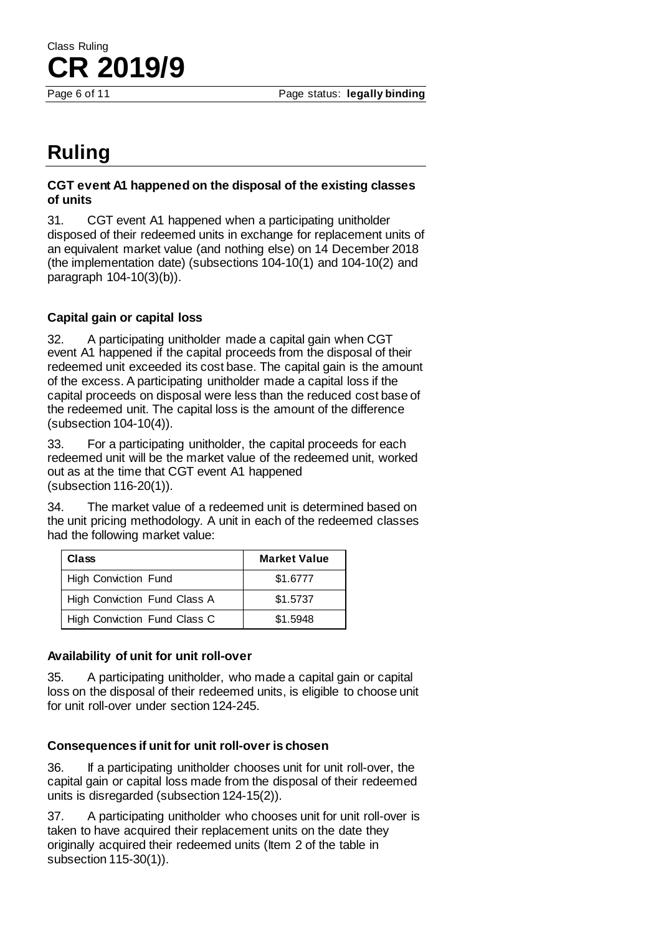Page 6 of 11 **Page status: legally binding** 

# **Ruling**

Class Ruling

**CR 2019/9**

#### **CGT event A1 happened on the disposal of the existing classes of units**

31. CGT event A1 happened when a participating unitholder disposed of their redeemed units in exchange for replacement units of an equivalent market value (and nothing else) on 14 December 2018 (the implementation date) (subsections 104-10(1) and 104-10(2) and paragraph 104-10(3)(b)).

### **Capital gain or capital loss**

32. A participating unitholder made a capital gain when CGT event A1 happened if the capital proceeds from the disposal of their redeemed unit exceeded its cost base. The capital gain is the amount of the excess. A participating unitholder made a capital loss if the capital proceeds on disposal were less than the reduced cost base of the redeemed unit. The capital loss is the amount of the difference (subsection 104-10(4)).

33. For a participating unitholder, the capital proceeds for each redeemed unit will be the market value of the redeemed unit, worked out as at the time that CGT event A1 happened (subsection 116-20(1)).

34. The market value of a redeemed unit is determined based on the unit pricing methodology. A unit in each of the redeemed classes had the following market value:

| Class                        | <b>Market Value</b> |
|------------------------------|---------------------|
| <b>High Conviction Fund</b>  | \$1.6777            |
| High Conviction Fund Class A | \$1.5737            |
| High Conviction Fund Class C | \$1.5948            |

#### **Availability of unit for unit roll-over**

35. A participating unitholder, who made a capital gain or capital loss on the disposal of their redeemed units, is eligible to choose unit for unit roll-over under section 124-245.

#### **Consequences if unit for unit roll-over is chosen**

36. If a participating unitholder chooses unit for unit roll-over, the capital gain or capital loss made from the disposal of their redeemed units is disregarded (subsection 124-15(2)).

37. A participating unitholder who chooses unit for unit roll-over is taken to have acquired their replacement units on the date they originally acquired their redeemed units (Item 2 of the table in subsection 115-30(1)).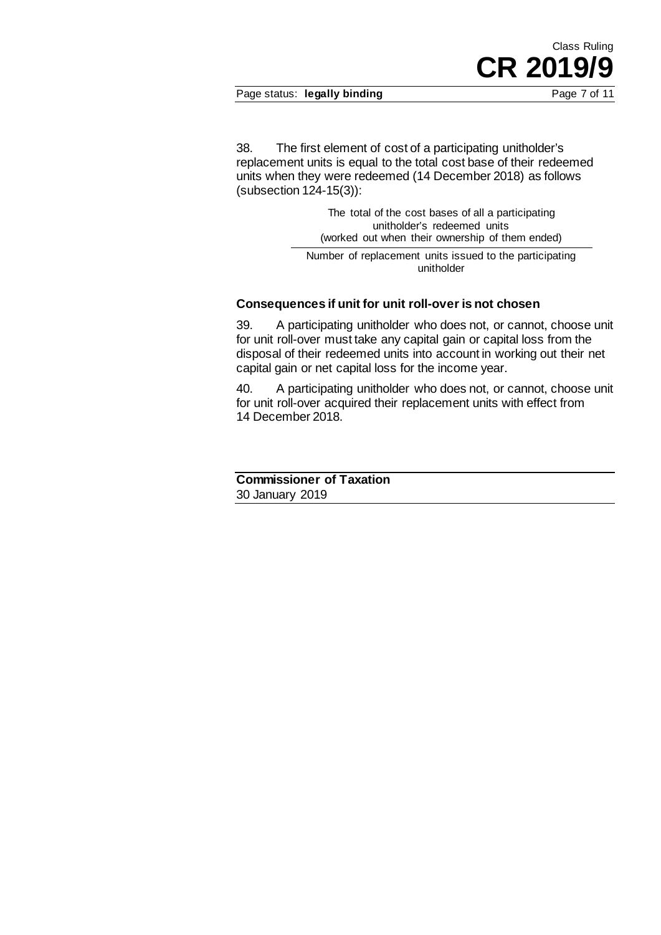Page status: **legally binding** Page 7 of 11

**CR 2019/9**

Class Ruling

38. The first element of cost of a participating unitholder's replacement units is equal to the total cost base of their redeemed units when they were redeemed (14 December 2018) as follows (subsection 124-15(3)):

> The total of the cost bases of all a participating unitholder's redeemed units (worked out when their ownership of them ended)

Number of replacement units issued to the participating unitholder

#### **Consequences if unit for unit roll-over is not chosen**

39. A participating unitholder who does not, or cannot, choose unit for unit roll-over must take any capital gain or capital loss from the disposal of their redeemed units into account in working out their net capital gain or net capital loss for the income year.

40. A participating unitholder who does not, or cannot, choose unit for unit roll-over acquired their replacement units with effect from 14 December 2018.

**Commissioner of Taxation** 30 January 2019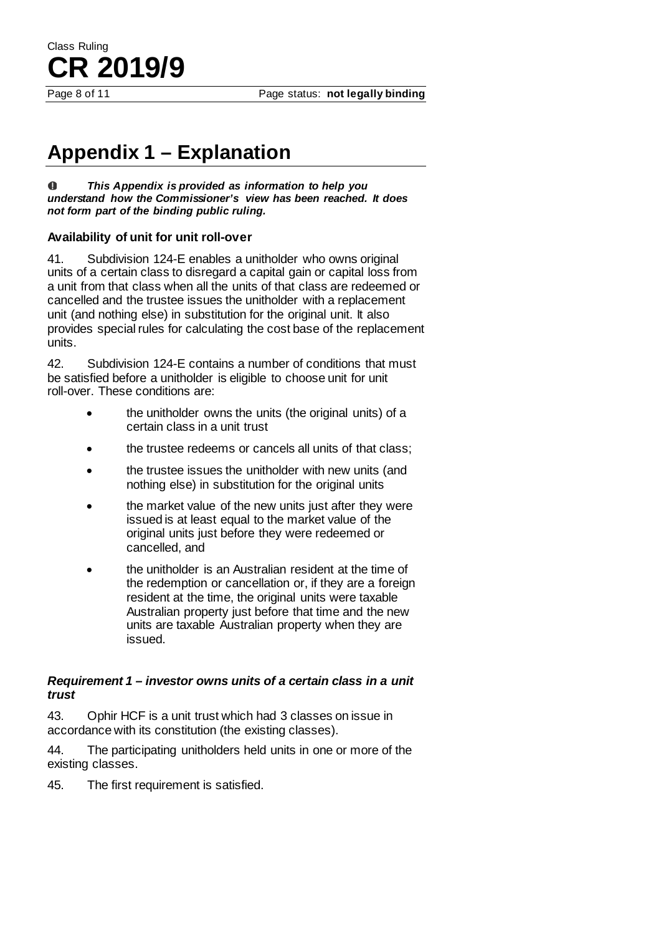Page 8 of 11 **Page status: not legally binding** 

# **Appendix 1 – Explanation**

 $\bf{0}$ *This Appendix is provided as information to help you understand how the Commissioner's view has been reached. It does not form part of the binding public ruling.*

#### **Availability of unit for unit roll-over**

41. Subdivision 124-E enables a unitholder who owns original units of a certain class to disregard a capital gain or capital loss from a unit from that class when all the units of that class are redeemed or cancelled and the trustee issues the unitholder with a replacement unit (and nothing else) in substitution for the original unit. It also provides special rules for calculating the cost base of the replacement units.

42. Subdivision 124-E contains a number of conditions that must be satisfied before a unitholder is eligible to choose unit for unit roll-over. These conditions are:

- the unitholder owns the units (the original units) of a certain class in a unit trust
- the trustee redeems or cancels all units of that class;
- the trustee issues the unitholder with new units (and nothing else) in substitution for the original units
- the market value of the new units just after they were issued is at least equal to the market value of the original units just before they were redeemed or cancelled, and
- the unitholder is an Australian resident at the time of the redemption or cancellation or, if they are a foreign resident at the time, the original units were taxable Australian property just before that time and the new units are taxable Australian property when they are issued.

#### *Requirement 1 – investor owns units of a certain class in a unit trust*

43. Ophir HCF is a unit trust which had 3 classes on issue in accordance with its constitution (the existing classes).

44. The participating unitholders held units in one or more of the existing classes.

45. The first requirement is satisfied.

Class Ruling **CR 2019/9**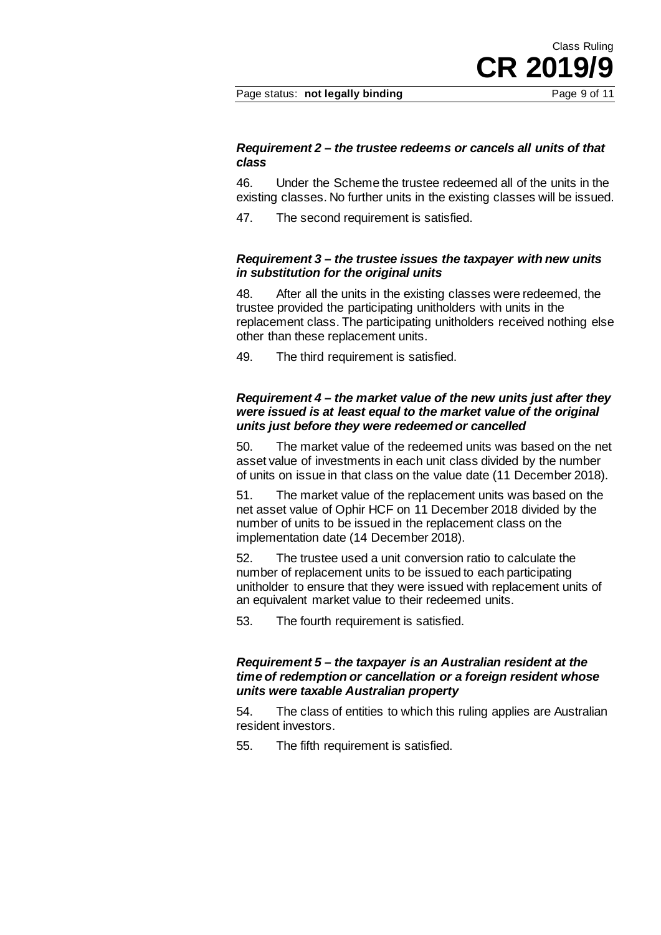Page status: **not legally binding** Page 9 of 11

#### *Requirement 2 – the trustee redeems or cancels all units of that class*

46. Under the Scheme the trustee redeemed all of the units in the existing classes. No further units in the existing classes will be issued.

47. The second requirement is satisfied.

#### *Requirement 3 – the trustee issues the taxpayer with new units in substitution for the original units*

48. After all the units in the existing classes were redeemed, the trustee provided the participating unitholders with units in the replacement class. The participating unitholders received nothing else other than these replacement units.

49. The third requirement is satisfied.

#### *Requirement 4 – the market value of the new units just after they were issued is at least equal to the market value of the original units just before they were redeemed or cancelled*

50. The market value of the redeemed units was based on the net asset value of investments in each unit class divided by the number of units on issue in that class on the value date (11 December 2018).

51. The market value of the replacement units was based on the net asset value of Ophir HCF on 11 December 2018 divided by the number of units to be issued in the replacement class on the implementation date (14 December 2018).

52. The trustee used a unit conversion ratio to calculate the number of replacement units to be issued to each participating unitholder to ensure that they were issued with replacement units of an equivalent market value to their redeemed units.

53. The fourth requirement is satisfied.

#### *Requirement 5 – the taxpayer is an Australian resident at the time of redemption or cancellation or a foreign resident whose units were taxable Australian property*

54. The class of entities to which this ruling applies are Australian resident investors.

55. The fifth requirement is satisfied.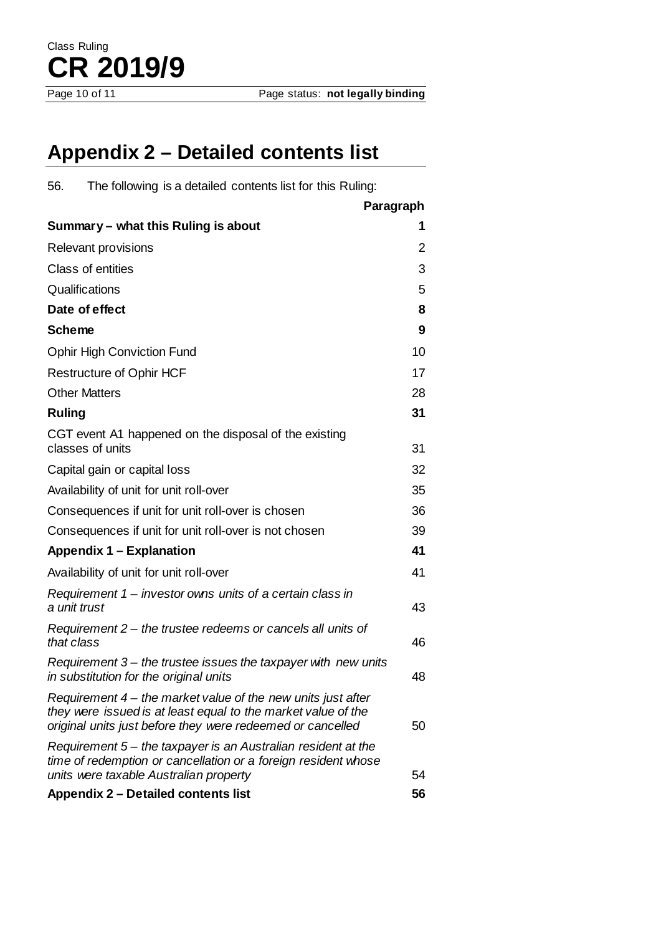# **Appendix 2 – Detailed contents list**

| 56.<br>The following is a detailed contents list for this Ruling:                                                                                                                             |           |
|-----------------------------------------------------------------------------------------------------------------------------------------------------------------------------------------------|-----------|
|                                                                                                                                                                                               | Paragraph |
| Summary - what this Ruling is about                                                                                                                                                           | 1         |
| <b>Relevant provisions</b>                                                                                                                                                                    | 2         |
| Class of entities                                                                                                                                                                             | 3         |
| Qualifications                                                                                                                                                                                | 5         |
| Date of effect                                                                                                                                                                                | 8         |
| <b>Scheme</b>                                                                                                                                                                                 | 9         |
| <b>Ophir High Conviction Fund</b>                                                                                                                                                             | 10        |
| <b>Restructure of Ophir HCF</b>                                                                                                                                                               | 17        |
| <b>Other Matters</b>                                                                                                                                                                          | 28        |
| <b>Ruling</b>                                                                                                                                                                                 | 31        |
| CGT event A1 happened on the disposal of the existing<br>classes of units                                                                                                                     | 31        |
| Capital gain or capital loss                                                                                                                                                                  | 32        |
| Availability of unit for unit roll-over                                                                                                                                                       | 35        |
| Consequences if unit for unit roll-over is chosen                                                                                                                                             | 36        |
| Consequences if unit for unit roll-over is not chosen                                                                                                                                         | 39        |
| <b>Appendix 1 – Explanation</b>                                                                                                                                                               | 41        |
| Availability of unit for unit roll-over                                                                                                                                                       | 41        |
| Requirement $1$ – investor owns units of a certain class in<br>a unit trust                                                                                                                   | 43        |
| Requirement $2$ – the trustee redeems or cancels all units of<br>that class                                                                                                                   | 46        |
| Requirement $3$ – the trustee issues the taxpayer with new units<br>in substitution for the original units                                                                                    | 48        |
| Requirement $4$ – the market value of the new units just after<br>they were issued is at least equal to the market value of the<br>original units just before they were redeemed or cancelled | 50        |
| Requirement 5 - the taxpayer is an Australian resident at the<br>time of redemption or cancellation or a foreign resident whose<br>units were taxable Australian property                     | 54        |
| <b>Appendix 2 - Detailed contents list</b>                                                                                                                                                    | 56        |
|                                                                                                                                                                                               |           |